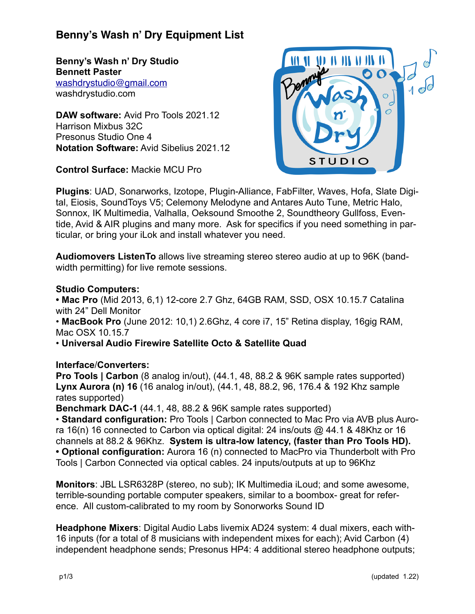# **Benny's Wash n' Dry Equipment List**

**Benny's Wash n' Dry Studio Bennett Paster** [washdrystudio@gmail.com](mailto:washdrystudio@gmail.com) washdrystudio.com

**DAW software:** Avid Pro Tools 2021.12 Harrison Mixbus 32C Presonus Studio One 4 **Notation Software:** Avid Sibelius 2021.12

**Control Surface:** Mackie MCU Pro



**Plugins**: UAD, Sonarworks, Izotope, Plugin-Alliance, FabFilter, Waves, Hofa, Slate Digital, Eiosis, SoundToys V5; Celemony Melodyne and Antares Auto Tune, Metric Halo, Sonnox, IK Multimedia, Valhalla, Oeksound Smoothe 2, Soundtheory Gullfoss, Eventide, Avid & AIR plugins and many more. Ask for specifics if you need something in particular, or bring your iLok and install whatever you need.

**Audiomovers ListenTo** allows live streaming stereo stereo audio at up to 96K (bandwidth permitting) for live remote sessions.

### **Studio Computers:**

**• Mac Pro** (Mid 2013, 6,1) 12-core 2.7 Ghz, 64GB RAM, SSD, OSX 10.15.7 Catalina with 24" Dell Monitor

• **MacBook Pro** (June 2012: 10,1) 2.6Ghz, 4 core i7, 15" Retina display, 16gig RAM, Mac OSX 10.15.7

• **Universal Audio Firewire Satellite Octo & Satellite Quad**

### **Interface**/**Converters:**

**Pro Tools | Carbon** (8 analog in/out), (44.1, 48, 88.2 & 96K sample rates supported) **Lynx Aurora (n) 16** (16 analog in/out), (44.1, 48, 88.2, 96, 176.4 & 192 Khz sample rates supported)

**Benchmark DAC-1** (44.1, 48, 88.2 & 96K sample rates supported)

• **Standard configuration:** Pro Tools | Carbon connected to Mac Pro via AVB plus Aurora 16(n) 16 connected to Carbon via optical digital: 24 ins/outs @ 44.1 & 48Khz or 16 channels at 88.2 & 96Khz. **System is ultra-low latency, (faster than Pro Tools HD). • Optional configuration:** Aurora 16 (n) connected to MacPro via Thunderbolt with Pro Tools | Carbon Connected via optical cables. 24 inputs/outputs at up to 96Khz

**Monitors**: JBL LSR6328P (stereo, no sub); IK Multimedia iLoud; and some awesome, terrible-sounding portable computer speakers, similar to a boombox- great for reference. All custom-calibrated to my room by Sonorworks Sound ID

**Headphone Mixers**: Digital Audio Labs livemix AD24 system: 4 dual mixers, each with-16 inputs (for a total of 8 musicians with independent mixes for each); Avid Carbon (4) independent headphone sends; Presonus HP4: 4 additional stereo headphone outputs;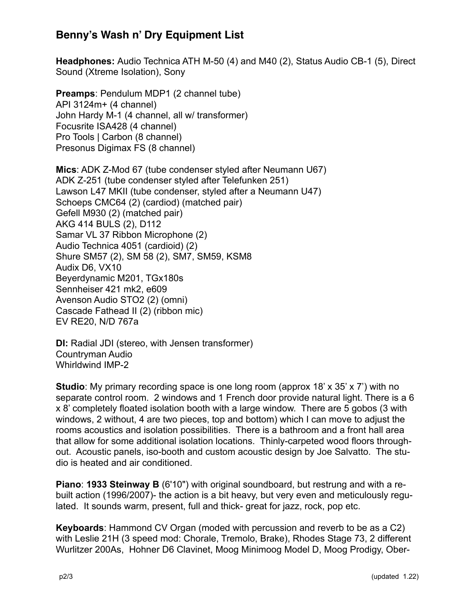## **Benny's Wash n' Dry Equipment List**

**Headphones:** Audio Technica ATH M-50 (4) and M40 (2), Status Audio CB-1 (5), Direct Sound (Xtreme Isolation), Sony

**Preamps**: Pendulum MDP1 (2 channel tube) API 3124m+ (4 channel) John Hardy M-1 (4 channel, all w/ transformer) Focusrite ISA428 (4 channel) Pro Tools | Carbon (8 channel) Presonus Digimax FS (8 channel)

**Mics**: ADK Z-Mod 67 (tube condenser styled after Neumann U67) ADK Z-251 (tube condenser styled after Telefunken 251) Lawson L47 MKII (tube condenser, styled after a Neumann U47) Schoeps CMC64 (2) (cardiod) (matched pair) Gefell M930 (2) (matched pair) AKG 414 BULS (2), D112 Samar VL 37 Ribbon Microphone (2) Audio Technica 4051 (cardioid) (2) Shure SM57 (2), SM 58 (2), SM7, SM59, KSM8 Audix D6, VX10 Beyerdynamic M201, TGx180s Sennheiser 421 mk2, e609 Avenson Audio STO2 (2) (omni) Cascade Fathead II (2) (ribbon mic) EV RE20, N/D 767a

**DI:** Radial JDI (stereo, with Jensen transformer) Countryman Audio Whirldwind IMP-2

**Studio**: My primary recording space is one long room (approx 18' x 35' x 7') with no separate control room. 2 windows and 1 French door provide natural light. There is a 6 x 8' completely floated isolation booth with a large window. There are 5 gobos (3 with windows, 2 without, 4 are two pieces, top and bottom) which I can move to adjust the rooms acoustics and isolation possibilities. There is a bathroom and a front hall area that allow for some additional isolation locations. Thinly-carpeted wood floors throughout. Acoustic panels, iso-booth and custom acoustic design by Joe Salvatto. The studio is heated and air conditioned.

**Piano**: **1933 Steinway B** (6'10") with original soundboard, but restrung and with a rebuilt action (1996/2007)- the action is a bit heavy, but very even and meticulously regulated. It sounds warm, present, full and thick- great for jazz, rock, pop etc.

**Keyboards**: Hammond CV Organ (moded with percussion and reverb to be as a C2) with Leslie 21H (3 speed mod: Chorale, Tremolo, Brake), Rhodes Stage 73, 2 different Wurlitzer 200As, Hohner D6 Clavinet, Moog Minimoog Model D, Moog Prodigy, Ober-